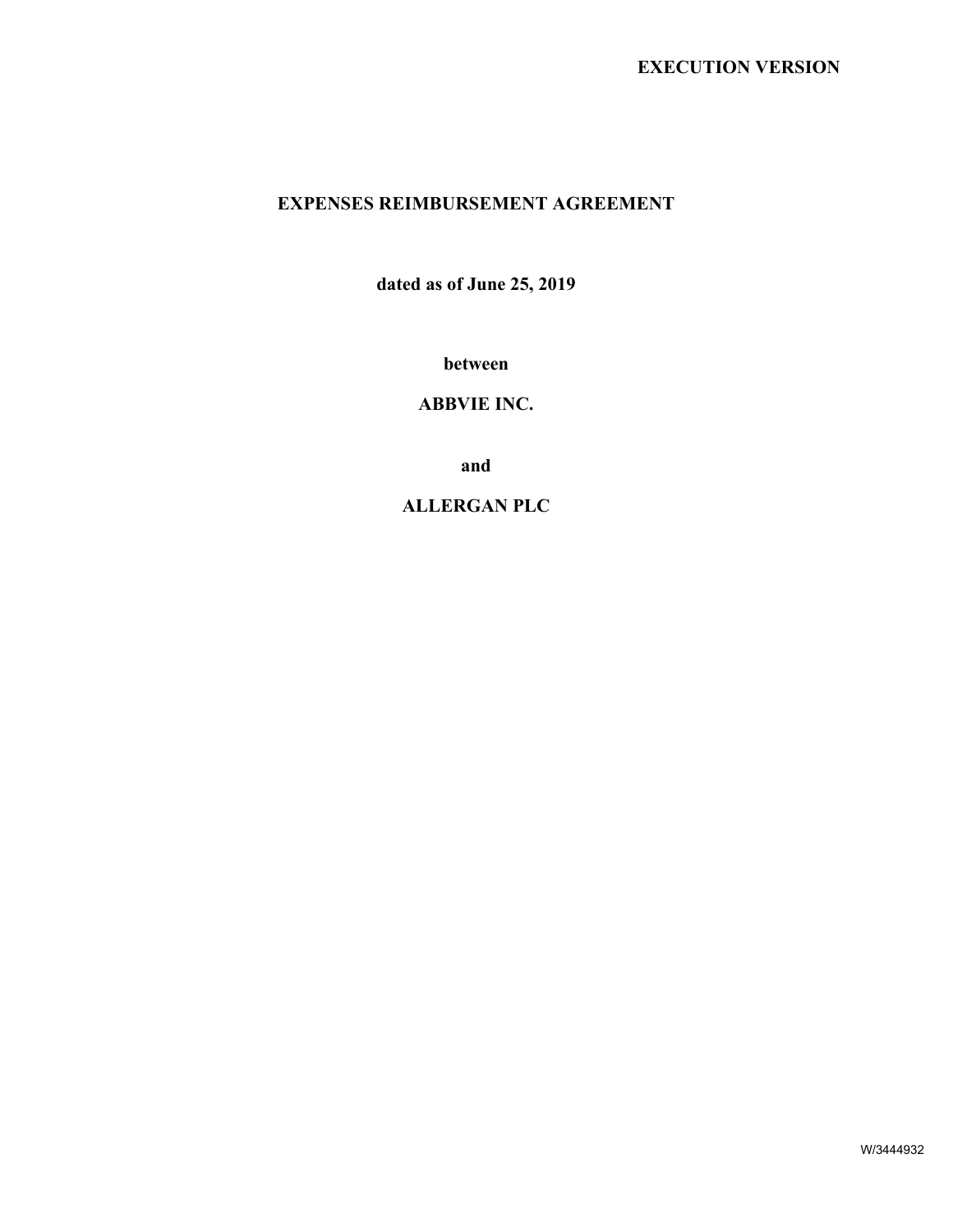# **EXPENSES REIMBURSEMENT AGREEMENT**

**dated as of June 25, 2019**

**between**

**ABBVIE INC.**

**and**

**ALLERGAN PLC**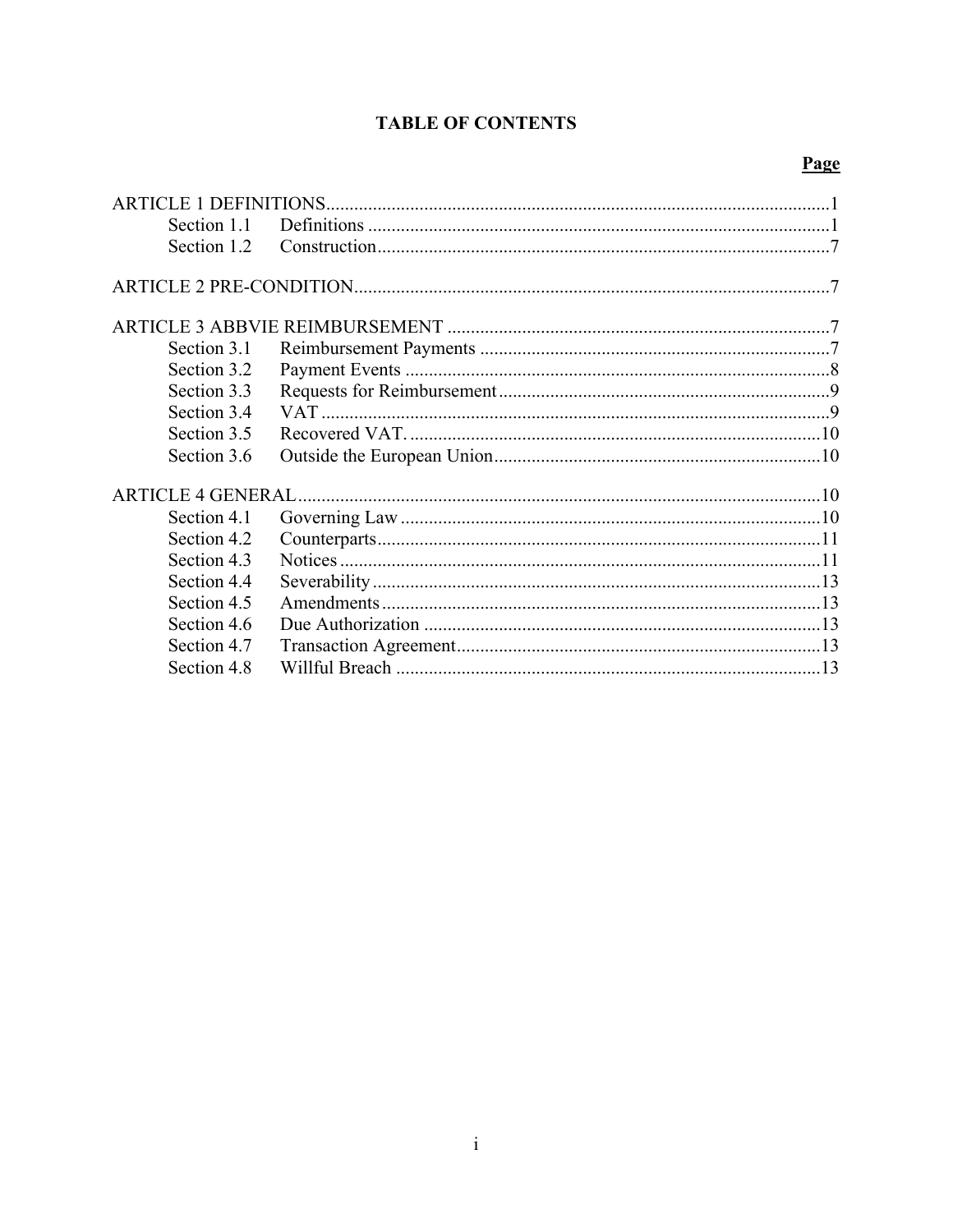# **TABLE OF CONTENTS**

# Page

| Section 1.1 |  |
|-------------|--|
| Section 1.2 |  |
|             |  |
|             |  |
| Section 3.1 |  |
| Section 3.2 |  |
| Section 3.3 |  |
| Section 3.4 |  |
| Section 3.5 |  |
| Section 3.6 |  |
|             |  |
| Section 4.1 |  |
| Section 4.2 |  |
| Section 4.3 |  |
| Section 4.4 |  |
| Section 4.5 |  |
| Section 4.6 |  |
| Section 4.7 |  |
| Section 4.8 |  |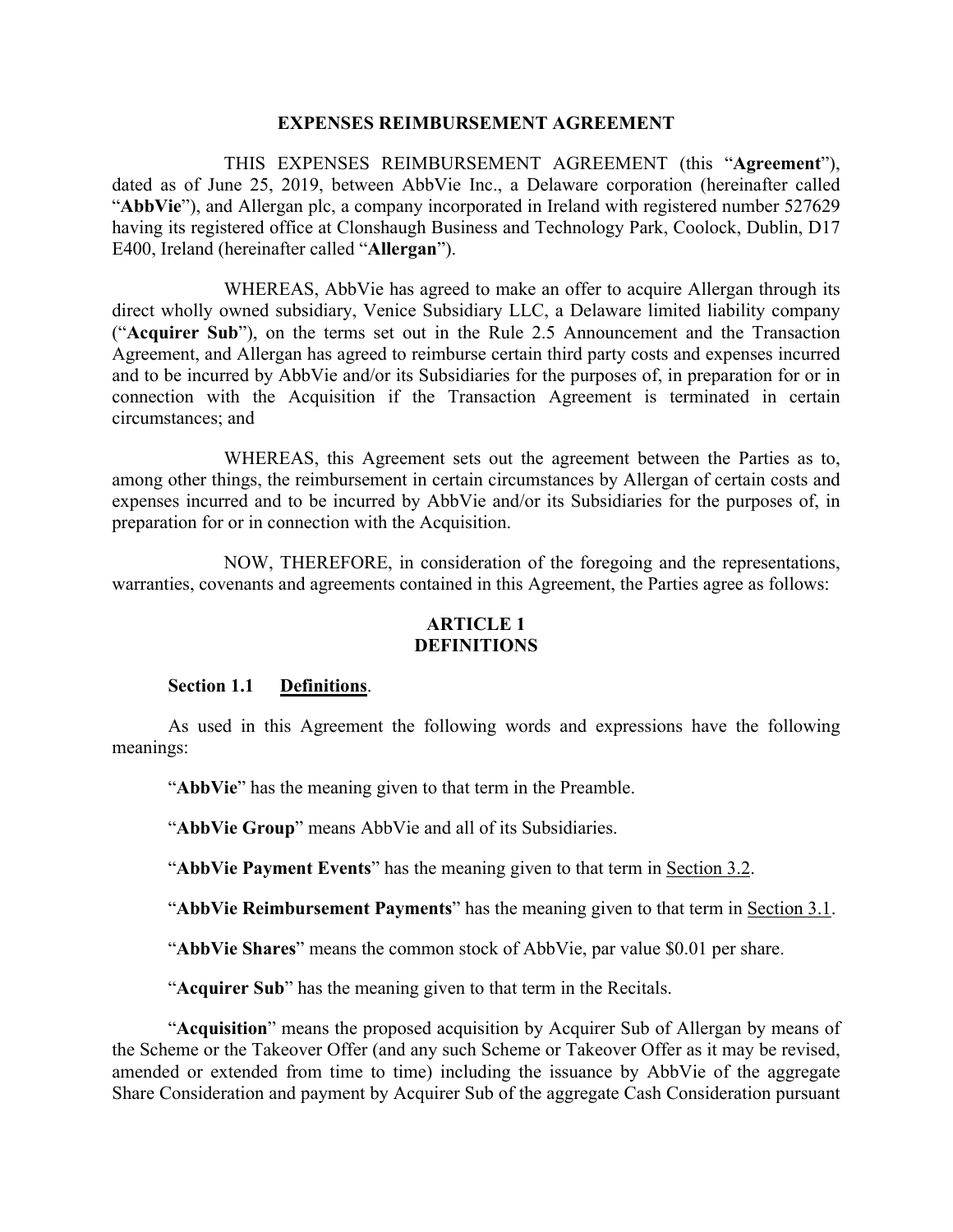#### **EXPENSES REIMBURSEMENT AGREEMENT**

THIS EXPENSES REIMBURSEMENT AGREEMENT (this "**Agreement**"), dated as of June 25, 2019, between AbbVie Inc., a Delaware corporation (hereinafter called "**AbbVie**"), and Allergan plc, a company incorporated in Ireland with registered number 527629 having its registered office at Clonshaugh Business and Technology Park, Coolock, Dublin, D17 E400, Ireland (hereinafter called "**Allergan**").

WHEREAS, AbbVie has agreed to make an offer to acquire Allergan through its direct wholly owned subsidiary, Venice Subsidiary LLC, a Delaware limited liability company ("**Acquirer Sub**"), on the terms set out in the Rule 2.5 Announcement and the Transaction Agreement, and Allergan has agreed to reimburse certain third party costs and expenses incurred and to be incurred by AbbVie and/or its Subsidiaries for the purposes of, in preparation for or in connection with the Acquisition if the Transaction Agreement is terminated in certain circumstances; and

WHEREAS, this Agreement sets out the agreement between the Parties as to, among other things, the reimbursement in certain circumstances by Allergan of certain costs and expenses incurred and to be incurred by AbbVie and/or its Subsidiaries for the purposes of, in preparation for or in connection with the Acquisition.

NOW, THEREFORE, in consideration of the foregoing and the representations, warranties, covenants and agreements contained in this Agreement, the Parties agree as follows:

## <span id="page-2-0"></span>**ARTICLE 1 DEFINITIONS**

#### <span id="page-2-1"></span>**Section 1.1 Definitions**.

As used in this Agreement the following words and expressions have the following meanings:

"**AbbVie**" has the meaning given to that term in the Preamble.

"**AbbVie Group**" means AbbVie and all of its Subsidiaries.

"**AbbVie Payment Events**" has the meaning given to that term in Section 3.2.

"**AbbVie Reimbursement Payments**" has the meaning given to that term in Section 3.1.

"**AbbVie Shares**" means the common stock of AbbVie, par value \$0.01 per share.

"**Acquirer Sub**" has the meaning given to that term in the Recitals.

"**Acquisition**" means the proposed acquisition by Acquirer Sub of Allergan by means of the Scheme or the Takeover Offer (and any such Scheme or Takeover Offer as it may be revised, amended or extended from time to time) including the issuance by AbbVie of the aggregate Share Consideration and payment by Acquirer Sub of the aggregate Cash Consideration pursuant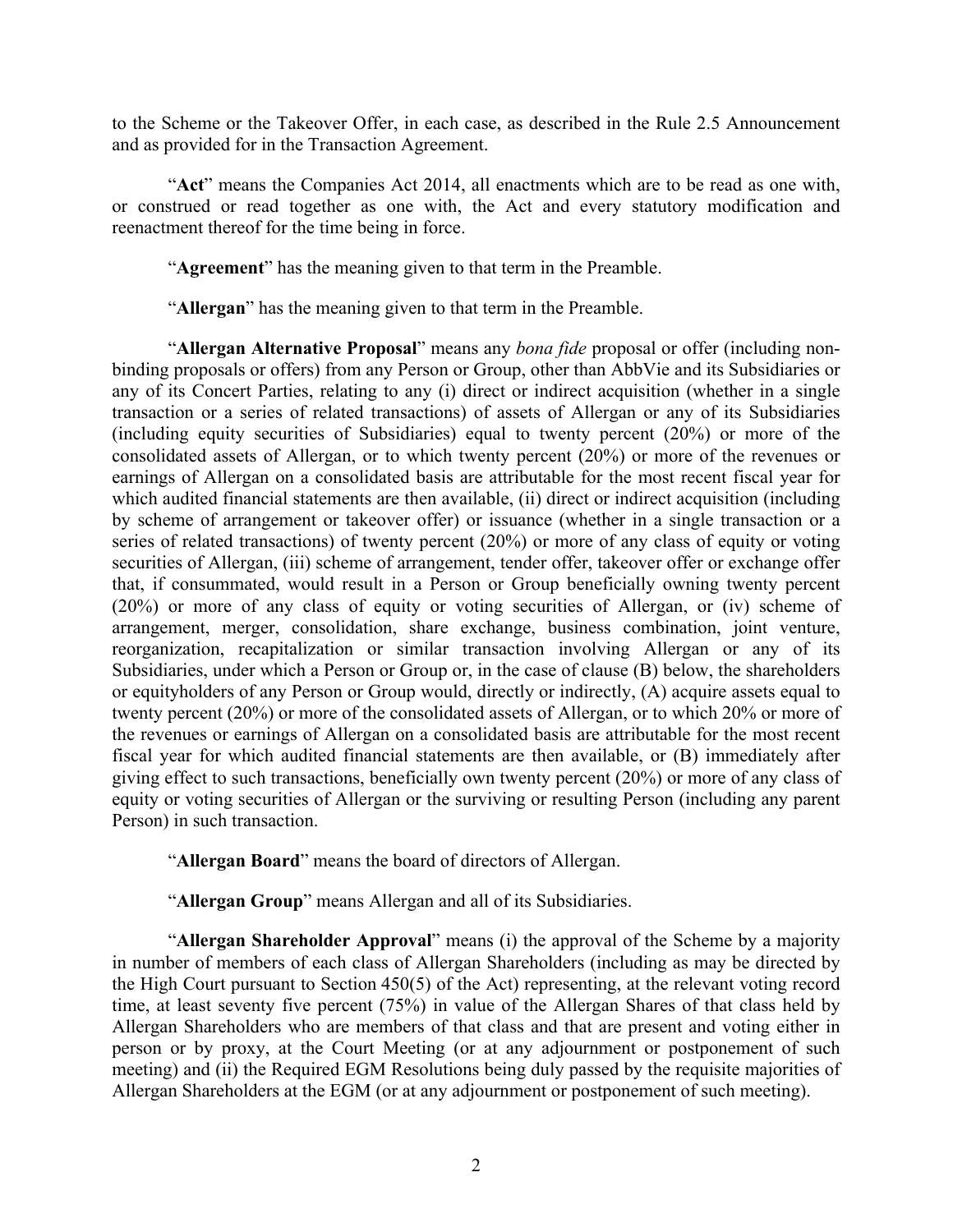to the Scheme or the Takeover Offer, in each case, as described in the Rule 2.5 Announcement and as provided for in the Transaction Agreement.

"**Act**" means the Companies Act 2014, all enactments which are to be read as one with, or construed or read together as one with, the Act and every statutory modification and reenactment thereof for the time being in force.

"**Agreement**" has the meaning given to that term in the Preamble.

"**Allergan**" has the meaning given to that term in the Preamble.

"**Allergan Alternative Proposal**" means any *bona fide* proposal or offer (including nonbinding proposals or offers) from any Person or Group, other than AbbVie and its Subsidiaries or any of its Concert Parties, relating to any (i) direct or indirect acquisition (whether in a single transaction or a series of related transactions) of assets of Allergan or any of its Subsidiaries (including equity securities of Subsidiaries) equal to twenty percent (20%) or more of the consolidated assets of Allergan, or to which twenty percent (20%) or more of the revenues or earnings of Allergan on a consolidated basis are attributable for the most recent fiscal year for which audited financial statements are then available, (ii) direct or indirect acquisition (including by scheme of arrangement or takeover offer) or issuance (whether in a single transaction or a series of related transactions) of twenty percent (20%) or more of any class of equity or voting securities of Allergan, (iii) scheme of arrangement, tender offer, takeover offer or exchange offer that, if consummated, would result in a Person or Group beneficially owning twenty percent (20%) or more of any class of equity or voting securities of Allergan, or (iv) scheme of arrangement, merger, consolidation, share exchange, business combination, joint venture, reorganization, recapitalization or similar transaction involving Allergan or any of its Subsidiaries, under which a Person or Group or, in the case of clause (B) below, the shareholders or equityholders of any Person or Group would, directly or indirectly, (A) acquire assets equal to twenty percent (20%) or more of the consolidated assets of Allergan, or to which 20% or more of the revenues or earnings of Allergan on a consolidated basis are attributable for the most recent fiscal year for which audited financial statements are then available, or (B) immediately after giving effect to such transactions, beneficially own twenty percent (20%) or more of any class of equity or voting securities of Allergan or the surviving or resulting Person (including any parent Person) in such transaction.

"**Allergan Board**" means the board of directors of Allergan.

"**Allergan Group**" means Allergan and all of its Subsidiaries.

"**Allergan Shareholder Approval**" means (i) the approval of the Scheme by a majority in number of members of each class of Allergan Shareholders (including as may be directed by the High Court pursuant to Section 450(5) of the Act) representing, at the relevant voting record time, at least seventy five percent (75%) in value of the Allergan Shares of that class held by Allergan Shareholders who are members of that class and that are present and voting either in person or by proxy, at the Court Meeting (or at any adjournment or postponement of such meeting) and (ii) the Required EGM Resolutions being duly passed by the requisite majorities of Allergan Shareholders at the EGM (or at any adjournment or postponement of such meeting).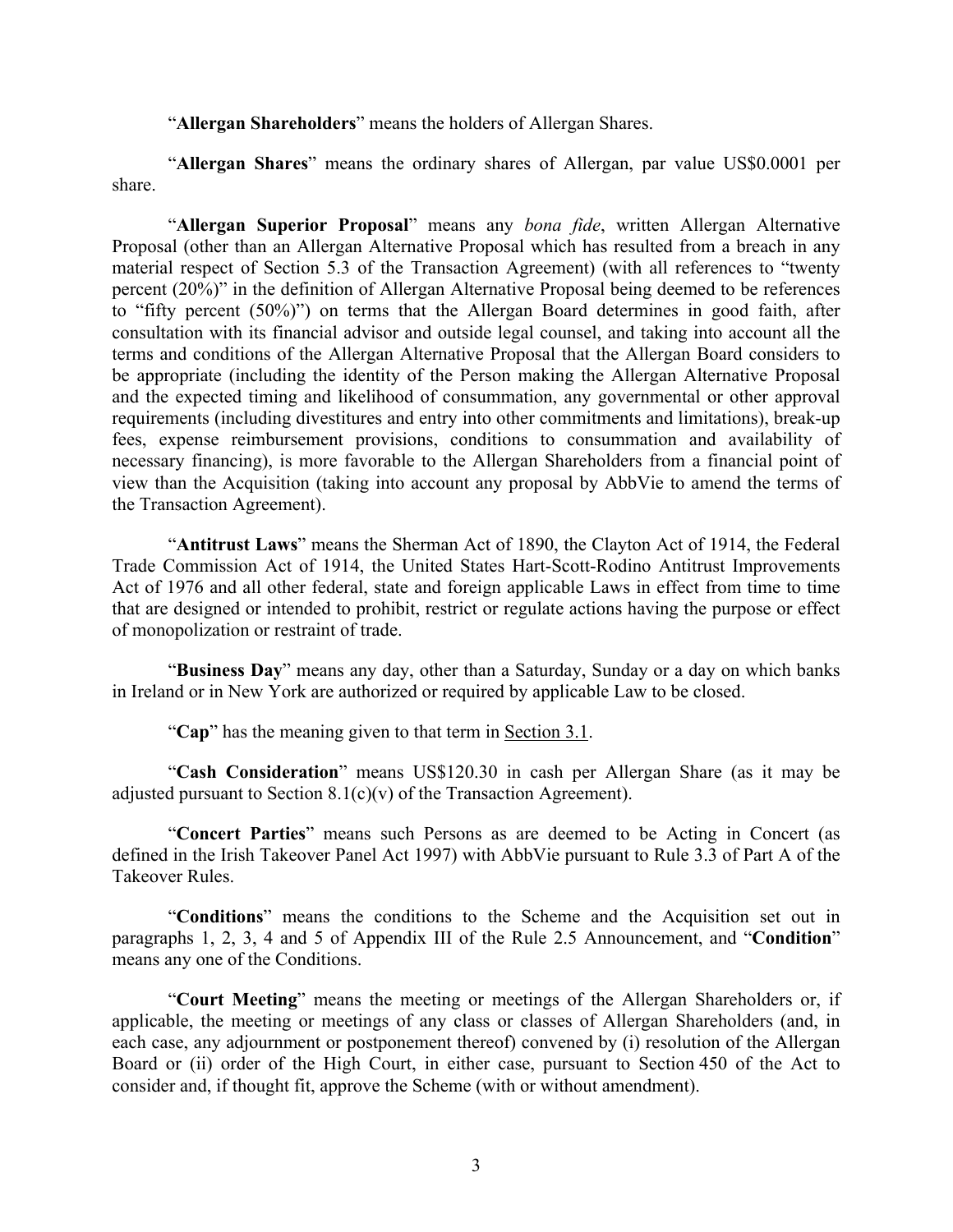"**Allergan Shareholders**" means the holders of Allergan Shares.

"**Allergan Shares**" means the ordinary shares of Allergan, par value US\$0.0001 per share.

"**Allergan Superior Proposal**" means any *bona fide*, written Allergan Alternative Proposal (other than an Allergan Alternative Proposal which has resulted from a breach in any material respect of Section 5.3 of the Transaction Agreement) (with all references to "twenty percent (20%)" in the definition of Allergan Alternative Proposal being deemed to be references to "fifty percent (50%)") on terms that the Allergan Board determines in good faith, after consultation with its financial advisor and outside legal counsel, and taking into account all the terms and conditions of the Allergan Alternative Proposal that the Allergan Board considers to be appropriate (including the identity of the Person making the Allergan Alternative Proposal and the expected timing and likelihood of consummation, any governmental or other approval requirements (including divestitures and entry into other commitments and limitations), break-up fees, expense reimbursement provisions, conditions to consummation and availability of necessary financing), is more favorable to the Allergan Shareholders from a financial point of view than the Acquisition (taking into account any proposal by AbbVie to amend the terms of the Transaction Agreement).

"**Antitrust Laws**" means the Sherman Act of 1890, the Clayton Act of 1914, the Federal Trade Commission Act of 1914, the United States Hart-Scott-Rodino Antitrust Improvements Act of 1976 and all other federal, state and foreign applicable Laws in effect from time to time that are designed or intended to prohibit, restrict or regulate actions having the purpose or effect of monopolization or restraint of trade.

"**Business Day**" means any day, other than a Saturday, Sunday or a day on which banks in Ireland or in New York are authorized or required by applicable Law to be closed.

"**Cap**" has the meaning given to that term in Section 3.1.

"**Cash Consideration**" means US\$120.30 in cash per Allergan Share (as it may be adjusted pursuant to Section  $8.1(c)(v)$  of the Transaction Agreement).

"**Concert Parties**" means such Persons as are deemed to be Acting in Concert (as defined in the Irish Takeover Panel Act 1997) with AbbVie pursuant to Rule 3.3 of Part A of the Takeover Rules.

"**Conditions**" means the conditions to the Scheme and the Acquisition set out in paragraphs 1, 2, 3, 4 and 5 of Appendix III of the Rule 2.5 Announcement, and "**Condition**" means any one of the Conditions.

"**Court Meeting**" means the meeting or meetings of the Allergan Shareholders or, if applicable, the meeting or meetings of any class or classes of Allergan Shareholders (and, in each case, any adjournment or postponement thereof) convened by (i) resolution of the Allergan Board or (ii) order of the High Court, in either case, pursuant to Section 450 of the Act to consider and, if thought fit, approve the Scheme (with or without amendment).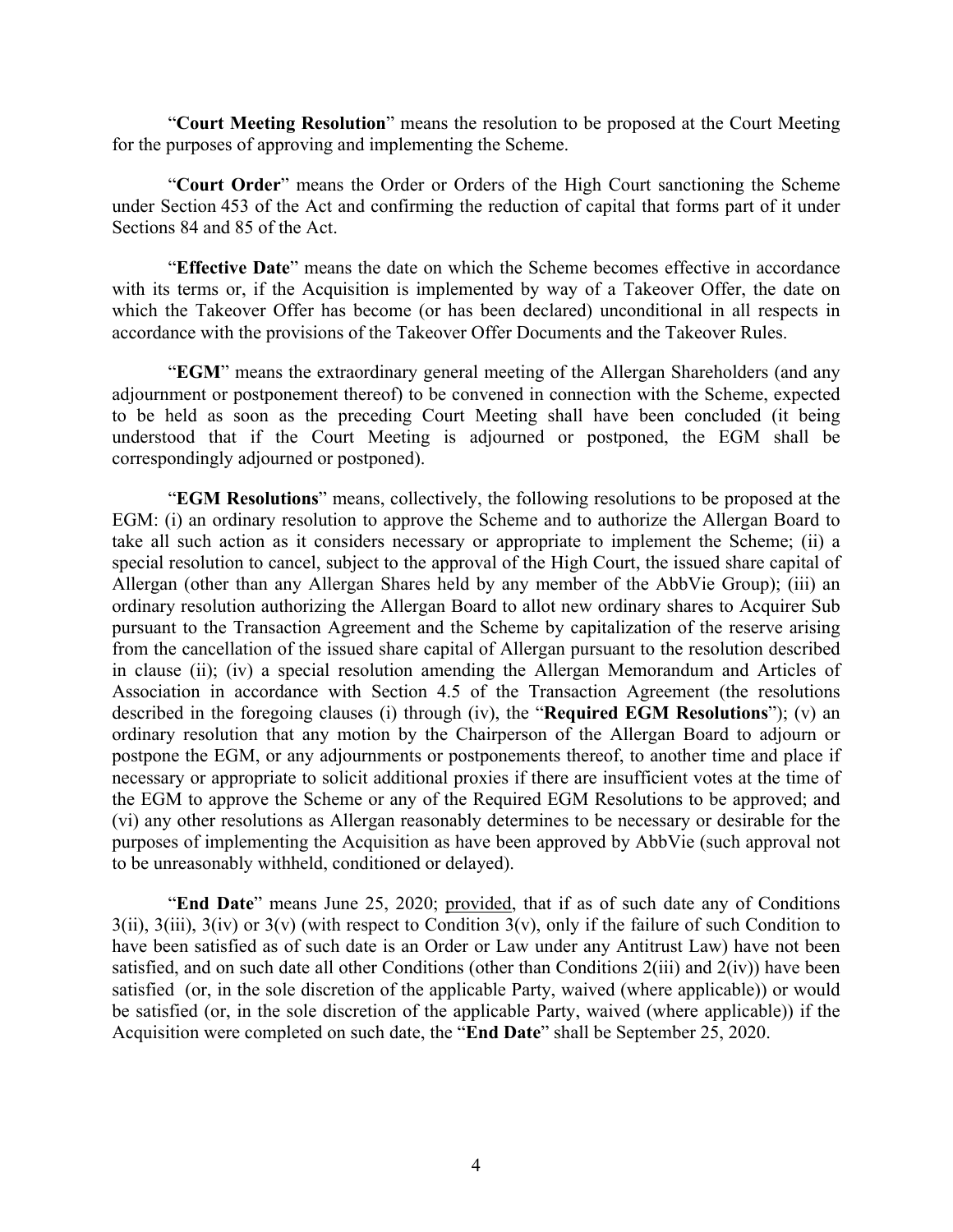"**Court Meeting Resolution**" means the resolution to be proposed at the Court Meeting for the purposes of approving and implementing the Scheme.

"**Court Order**" means the Order or Orders of the High Court sanctioning the Scheme under Section 453 of the Act and confirming the reduction of capital that forms part of it under Sections 84 and 85 of the Act.

"**Effective Date**" means the date on which the Scheme becomes effective in accordance with its terms or, if the Acquisition is implemented by way of a Takeover Offer, the date on which the Takeover Offer has become (or has been declared) unconditional in all respects in accordance with the provisions of the Takeover Offer Documents and the Takeover Rules.

"**EGM**" means the extraordinary general meeting of the Allergan Shareholders (and any adjournment or postponement thereof) to be convened in connection with the Scheme, expected to be held as soon as the preceding Court Meeting shall have been concluded (it being understood that if the Court Meeting is adjourned or postponed, the EGM shall be correspondingly adjourned or postponed).

"**EGM Resolutions**" means, collectively, the following resolutions to be proposed at the EGM: (i) an ordinary resolution to approve the Scheme and to authorize the Allergan Board to take all such action as it considers necessary or appropriate to implement the Scheme; (ii) a special resolution to cancel, subject to the approval of the High Court, the issued share capital of Allergan (other than any Allergan Shares held by any member of the AbbVie Group); (iii) an ordinary resolution authorizing the Allergan Board to allot new ordinary shares to Acquirer Sub pursuant to the Transaction Agreement and the Scheme by capitalization of the reserve arising from the cancellation of the issued share capital of Allergan pursuant to the resolution described in clause (ii); (iv) a special resolution amending the Allergan Memorandum and Articles of Association in accordance with Section 4.5 of the Transaction Agreement (the resolutions described in the foregoing clauses (i) through (iv), the "**Required EGM Resolutions**"); (v) an ordinary resolution that any motion by the Chairperson of the Allergan Board to adjourn or postpone the EGM, or any adjournments or postponements thereof, to another time and place if necessary or appropriate to solicit additional proxies if there are insufficient votes at the time of the EGM to approve the Scheme or any of the Required EGM Resolutions to be approved; and (vi) any other resolutions as Allergan reasonably determines to be necessary or desirable for the purposes of implementing the Acquisition as have been approved by AbbVie (such approval not to be unreasonably withheld, conditioned or delayed).

"**End Date**" means June 25, 2020; provided, that if as of such date any of Conditions  $3(iii)$ ,  $3(iii)$ ,  $3(iv)$  or  $3(v)$  (with respect to Condition  $3(v)$ , only if the failure of such Condition to have been satisfied as of such date is an Order or Law under any Antitrust Law) have not been satisfied, and on such date all other Conditions (other than Conditions  $2(iii)$  and  $2(iv)$ ) have been satisfied (or, in the sole discretion of the applicable Party, waived (where applicable)) or would be satisfied (or, in the sole discretion of the applicable Party, waived (where applicable)) if the Acquisition were completed on such date, the "**End Date**" shall be September 25, 2020.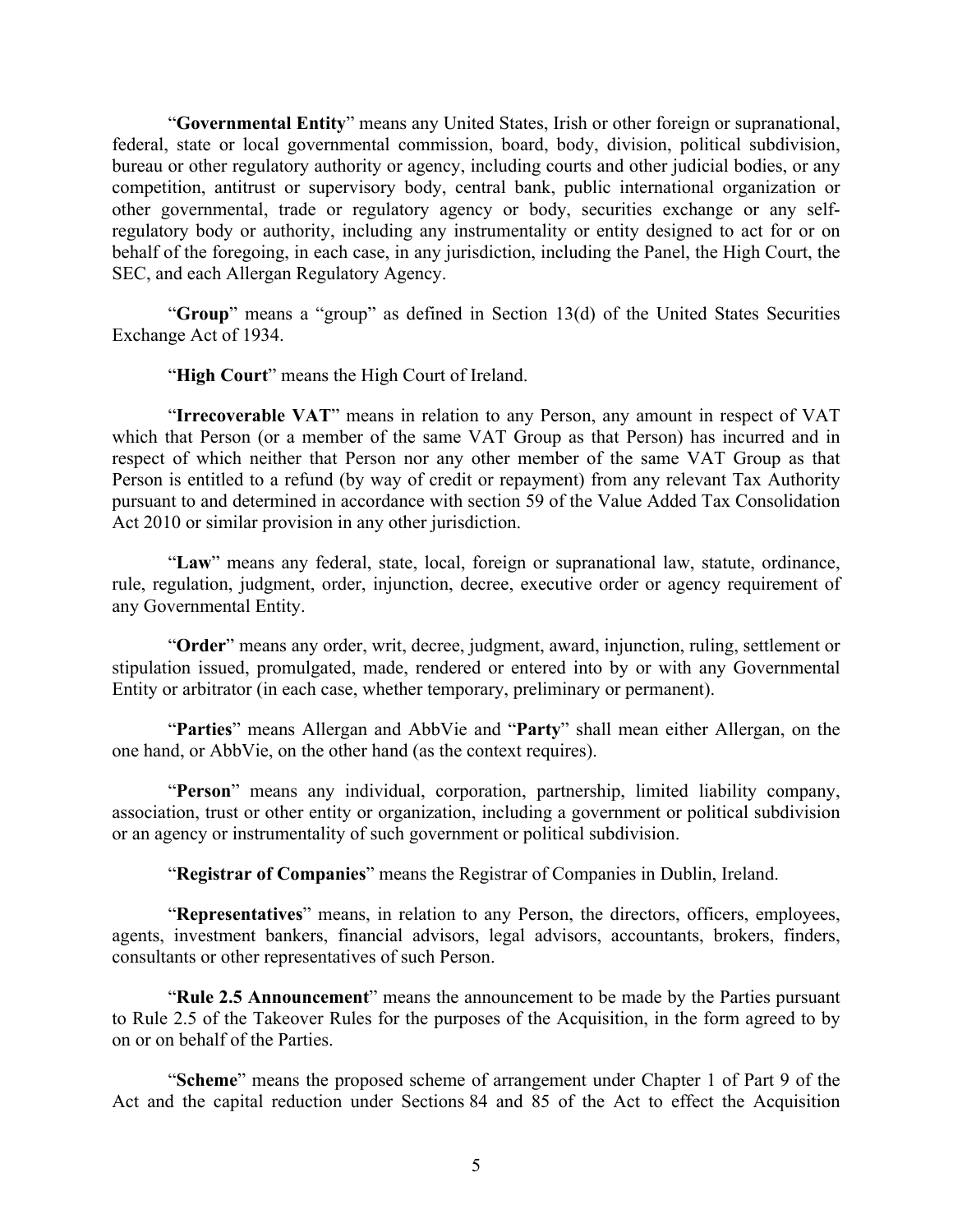"**Governmental Entity**" means any United States, Irish or other foreign or supranational, federal, state or local governmental commission, board, body, division, political subdivision, bureau or other regulatory authority or agency, including courts and other judicial bodies, or any competition, antitrust or supervisory body, central bank, public international organization or other governmental, trade or regulatory agency or body, securities exchange or any selfregulatory body or authority, including any instrumentality or entity designed to act for or on behalf of the foregoing, in each case, in any jurisdiction, including the Panel, the High Court, the SEC, and each Allergan Regulatory Agency.

"**Group**" means a "group" as defined in Section 13(d) of the United States Securities Exchange Act of 1934.

"**High Court**" means the High Court of Ireland.

"**Irrecoverable VAT**" means in relation to any Person, any amount in respect of VAT which that Person (or a member of the same VAT Group as that Person) has incurred and in respect of which neither that Person nor any other member of the same VAT Group as that Person is entitled to a refund (by way of credit or repayment) from any relevant Tax Authority pursuant to and determined in accordance with section 59 of the Value Added Tax Consolidation Act 2010 or similar provision in any other jurisdiction.

"**Law**" means any federal, state, local, foreign or supranational law, statute, ordinance, rule, regulation, judgment, order, injunction, decree, executive order or agency requirement of any Governmental Entity.

"**Order**" means any order, writ, decree, judgment, award, injunction, ruling, settlement or stipulation issued, promulgated, made, rendered or entered into by or with any Governmental Entity or arbitrator (in each case, whether temporary, preliminary or permanent).

"**Parties**" means Allergan and AbbVie and "**Party**" shall mean either Allergan, on the one hand, or AbbVie, on the other hand (as the context requires).

"**Person**" means any individual, corporation, partnership, limited liability company, association, trust or other entity or organization, including a government or political subdivision or an agency or instrumentality of such government or political subdivision.

"**Registrar of Companies**" means the Registrar of Companies in Dublin, Ireland.

"**Representatives**" means, in relation to any Person, the directors, officers, employees, agents, investment bankers, financial advisors, legal advisors, accountants, brokers, finders, consultants or other representatives of such Person.

"**Rule 2.5 Announcement**" means the announcement to be made by the Parties pursuant to Rule 2.5 of the Takeover Rules for the purposes of the Acquisition, in the form agreed to by on or on behalf of the Parties.

"**Scheme**" means the proposed scheme of arrangement under Chapter 1 of Part 9 of the Act and the capital reduction under Sections 84 and 85 of the Act to effect the Acquisition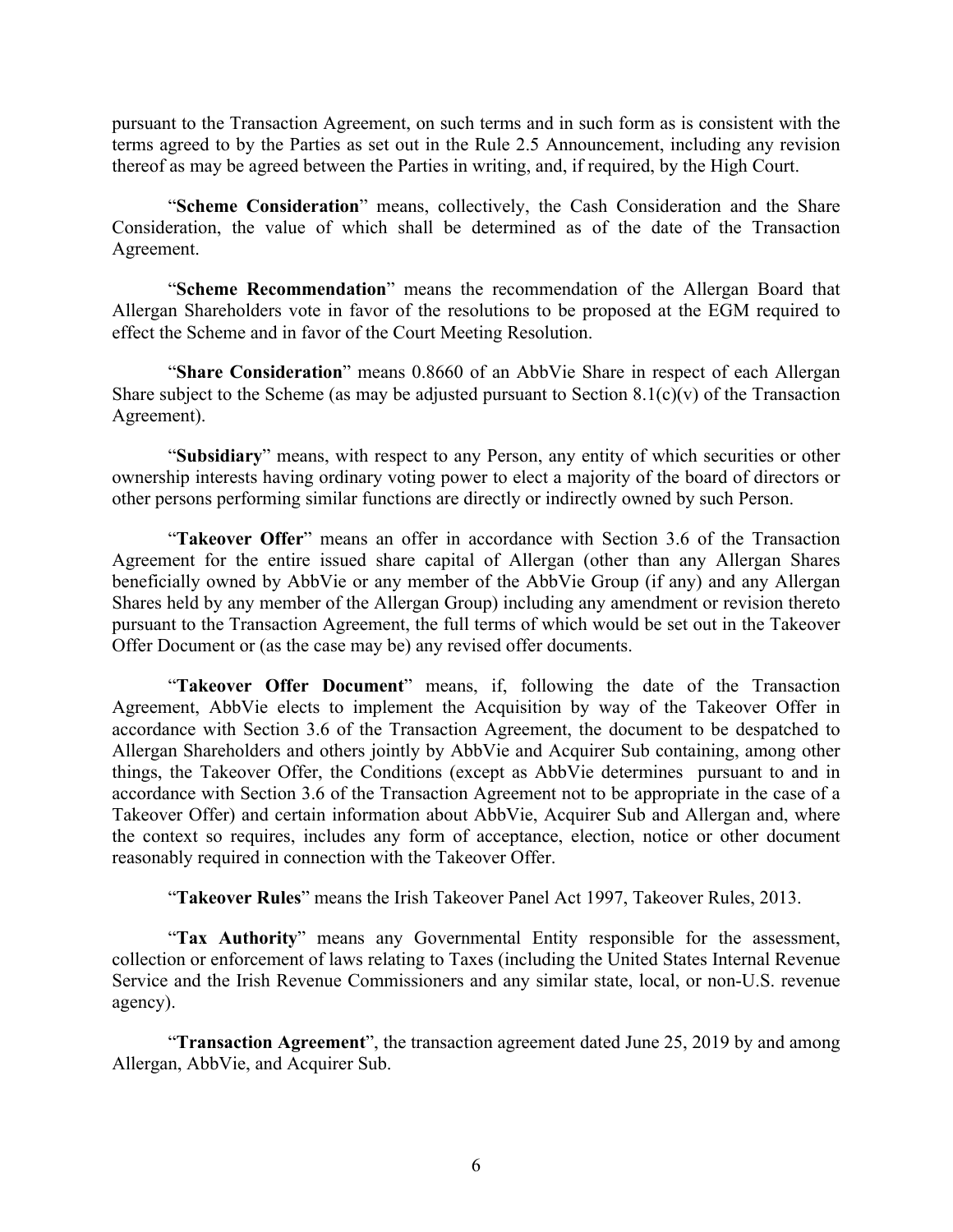pursuant to the Transaction Agreement, on such terms and in such form as is consistent with the terms agreed to by the Parties as set out in the Rule 2.5 Announcement, including any revision thereof as may be agreed between the Parties in writing, and, if required, by the High Court.

"**Scheme Consideration**" means, collectively, the Cash Consideration and the Share Consideration, the value of which shall be determined as of the date of the Transaction Agreement.

"**Scheme Recommendation**" means the recommendation of the Allergan Board that Allergan Shareholders vote in favor of the resolutions to be proposed at the EGM required to effect the Scheme and in favor of the Court Meeting Resolution.

"**Share Consideration**" means 0.8660 of an AbbVie Share in respect of each Allergan Share subject to the Scheme (as may be adjusted pursuant to Section  $8.1(c)(v)$  of the Transaction Agreement).

"**Subsidiary**" means, with respect to any Person, any entity of which securities or other ownership interests having ordinary voting power to elect a majority of the board of directors or other persons performing similar functions are directly or indirectly owned by such Person.

"**Takeover Offer**" means an offer in accordance with Section 3.6 of the Transaction Agreement for the entire issued share capital of Allergan (other than any Allergan Shares beneficially owned by AbbVie or any member of the AbbVie Group (if any) and any Allergan Shares held by any member of the Allergan Group) including any amendment or revision thereto pursuant to the Transaction Agreement, the full terms of which would be set out in the Takeover Offer Document or (as the case may be) any revised offer documents.

"**Takeover Offer Document**" means, if, following the date of the Transaction Agreement, AbbVie elects to implement the Acquisition by way of the Takeover Offer in accordance with Section 3.6 of the Transaction Agreement, the document to be despatched to Allergan Shareholders and others jointly by AbbVie and Acquirer Sub containing, among other things, the Takeover Offer, the Conditions (except as AbbVie determines pursuant to and in accordance with Section 3.6 of the Transaction Agreement not to be appropriate in the case of a Takeover Offer) and certain information about AbbVie, Acquirer Sub and Allergan and, where the context so requires, includes any form of acceptance, election, notice or other document reasonably required in connection with the Takeover Offer.

"**Takeover Rules**" means the Irish Takeover Panel Act 1997, Takeover Rules, 2013.

"**Tax Authority**" means any Governmental Entity responsible for the assessment, collection or enforcement of laws relating to Taxes (including the United States Internal Revenue Service and the Irish Revenue Commissioners and any similar state, local, or non-U.S. revenue agency).

"**Transaction Agreement**", the transaction agreement dated June 25, 2019 by and among Allergan, AbbVie, and Acquirer Sub.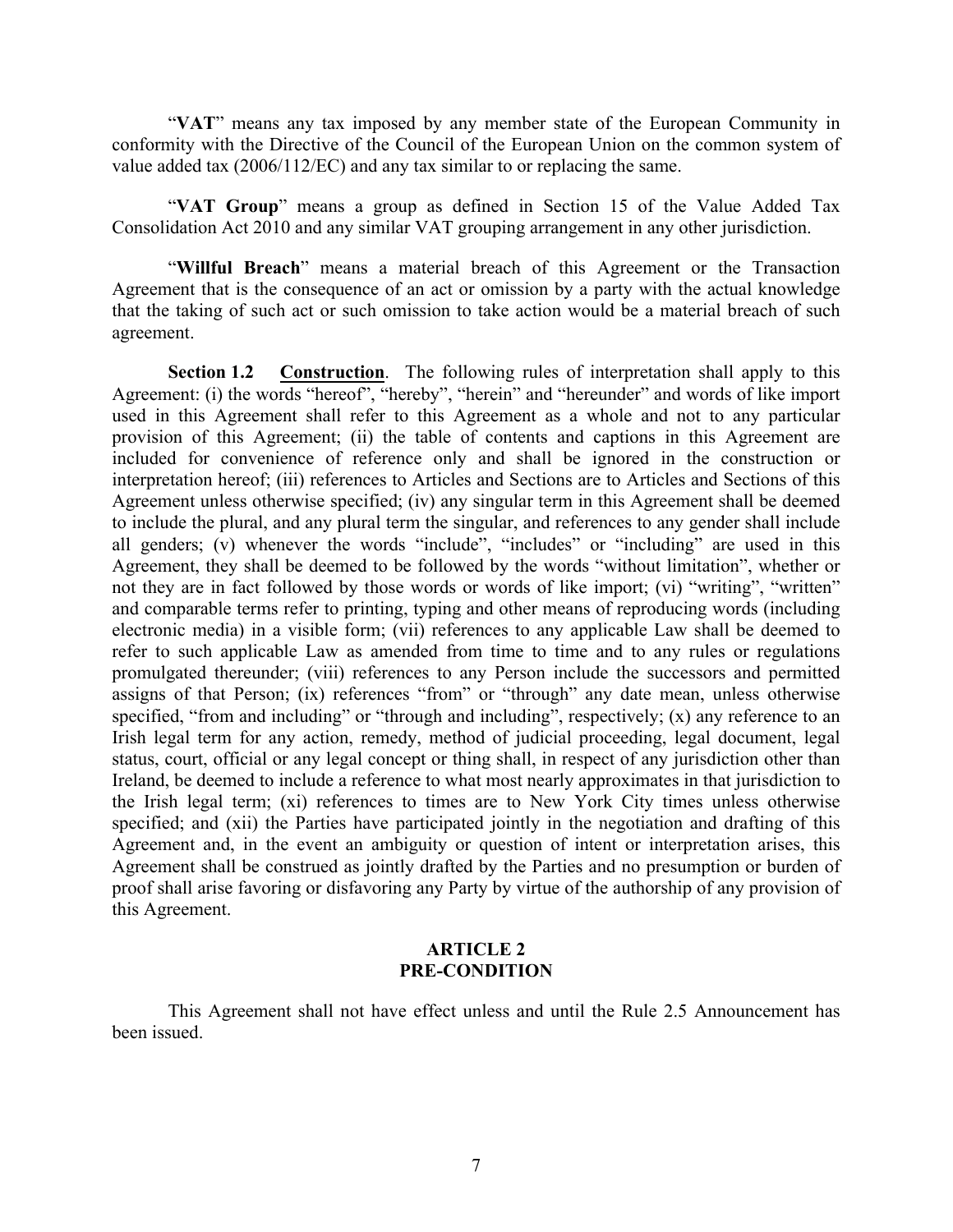"**VAT**" means any tax imposed by any member state of the European Community in conformity with the Directive of the Council of the European Union on the common system of value added tax (2006/112/EC) and any tax similar to or replacing the same.

"**VAT Group**" means a group as defined in Section 15 of the Value Added Tax Consolidation Act 2010 and any similar VAT grouping arrangement in any other jurisdiction.

"**Willful Breach**" means a material breach of this Agreement or the Transaction Agreement that is the consequence of an act or omission by a party with the actual knowledge that the taking of such act or such omission to take action would be a material breach of such agreement.

<span id="page-8-0"></span>**Section 1.2 Construction**. The following rules of interpretation shall apply to this Agreement: (i) the words "hereof", "hereby", "herein" and "hereunder" and words of like import used in this Agreement shall refer to this Agreement as a whole and not to any particular provision of this Agreement; (ii) the table of contents and captions in this Agreement are included for convenience of reference only and shall be ignored in the construction or interpretation hereof; (iii) references to Articles and Sections are to Articles and Sections of this Agreement unless otherwise specified; (iv) any singular term in this Agreement shall be deemed to include the plural, and any plural term the singular, and references to any gender shall include all genders; (v) whenever the words "include", "includes" or "including" are used in this Agreement, they shall be deemed to be followed by the words "without limitation", whether or not they are in fact followed by those words or words of like import; (vi) "writing", "written" and comparable terms refer to printing, typing and other means of reproducing words (including electronic media) in a visible form; (vii) references to any applicable Law shall be deemed to refer to such applicable Law as amended from time to time and to any rules or regulations promulgated thereunder; (viii) references to any Person include the successors and permitted assigns of that Person; (ix) references "from" or "through" any date mean, unless otherwise specified, "from and including" or "through and including", respectively; (x) any reference to an Irish legal term for any action, remedy, method of judicial proceeding, legal document, legal status, court, official or any legal concept or thing shall, in respect of any jurisdiction other than Ireland, be deemed to include a reference to what most nearly approximates in that jurisdiction to the Irish legal term; (xi) references to times are to New York City times unless otherwise specified; and (xii) the Parties have participated jointly in the negotiation and drafting of this Agreement and, in the event an ambiguity or question of intent or interpretation arises, this Agreement shall be construed as jointly drafted by the Parties and no presumption or burden of proof shall arise favoring or disfavoring any Party by virtue of the authorship of any provision of this Agreement.

## <span id="page-8-1"></span>**ARTICLE 2 PRE-CONDITION**

This Agreement shall not have effect unless and until the Rule 2.5 Announcement has been issued.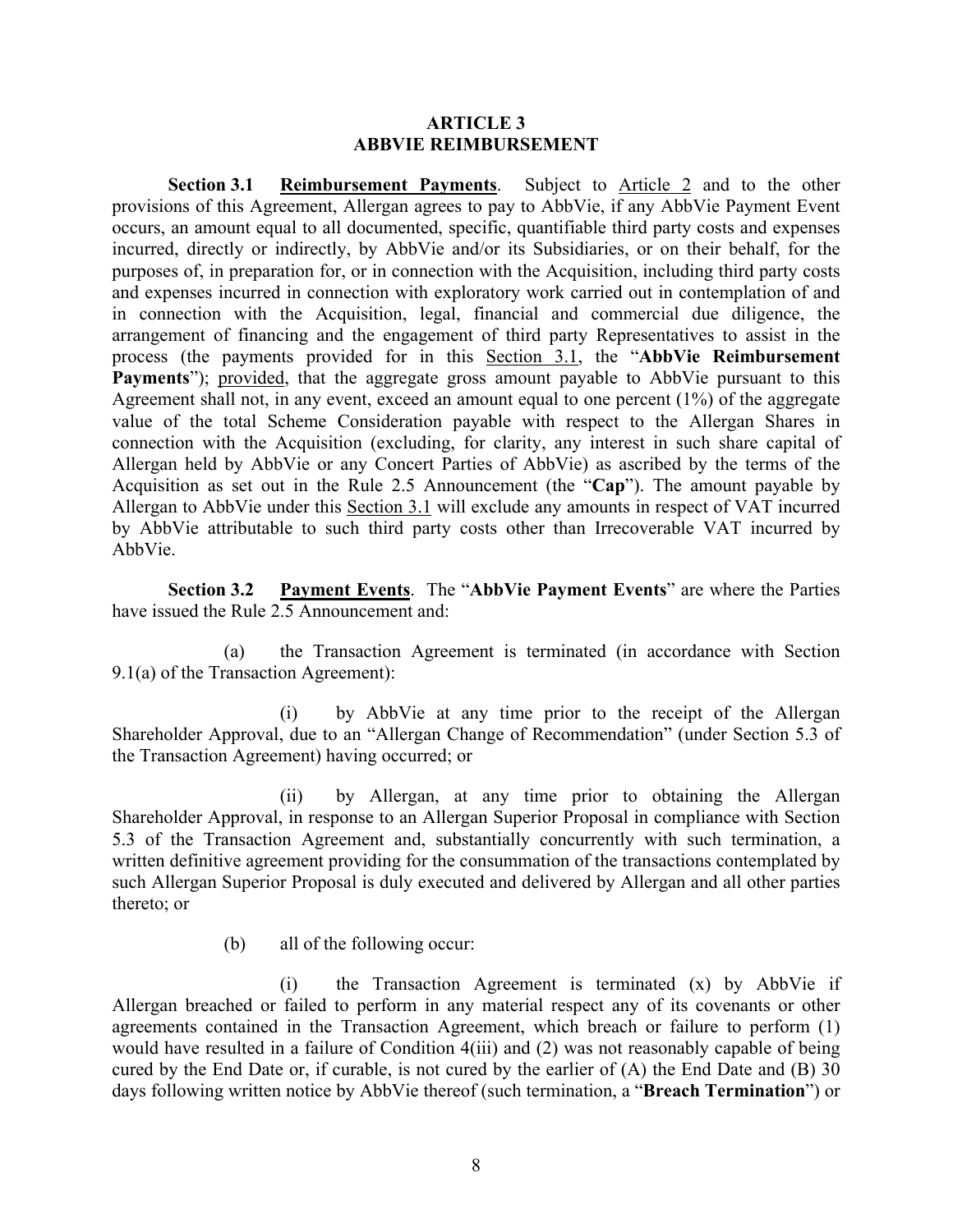### <span id="page-9-0"></span>**ARTICLE 3 ABBVIE REIMBURSEMENT**

<span id="page-9-1"></span>**Section 3.1 Reimbursement Payments**. Subject to Article 2 and to the other provisions of this Agreement, Allergan agrees to pay to AbbVie, if any AbbVie Payment Event occurs, an amount equal to all documented, specific, quantifiable third party costs and expenses incurred, directly or indirectly, by AbbVie and/or its Subsidiaries, or on their behalf, for the purposes of, in preparation for, or in connection with the Acquisition, including third party costs and expenses incurred in connection with exploratory work carried out in contemplation of and in connection with the Acquisition, legal, financial and commercial due diligence, the arrangement of financing and the engagement of third party Representatives to assist in the process (the payments provided for in this Section 3.1, the "**AbbVie Reimbursement Payments**"); provided, that the aggregate gross amount payable to AbbVie pursuant to this Agreement shall not, in any event, exceed an amount equal to one percent (1%) of the aggregate value of the total Scheme Consideration payable with respect to the Allergan Shares in connection with the Acquisition (excluding, for clarity, any interest in such share capital of Allergan held by AbbVie or any Concert Parties of AbbVie) as ascribed by the terms of the Acquisition as set out in the Rule 2.5 Announcement (the "**Cap**"). The amount payable by Allergan to AbbVie under this Section 3.1 will exclude any amounts in respect of VAT incurred by AbbVie attributable to such third party costs other than Irrecoverable VAT incurred by AbbVie.

<span id="page-9-2"></span>**Section 3.2 Payment Events**. The "**AbbVie Payment Events**" are where the Parties have issued the Rule 2.5 Announcement and:

(a) the Transaction Agreement is terminated (in accordance with Section 9.1(a) of the Transaction Agreement):

(i) by AbbVie at any time prior to the receipt of the Allergan Shareholder Approval, due to an "Allergan Change of Recommendation" (under Section 5.3 of the Transaction Agreement) having occurred; or

(ii) by Allergan, at any time prior to obtaining the Allergan Shareholder Approval, in response to an Allergan Superior Proposal in compliance with Section 5.3 of the Transaction Agreement and, substantially concurrently with such termination, a written definitive agreement providing for the consummation of the transactions contemplated by such Allergan Superior Proposal is duly executed and delivered by Allergan and all other parties thereto; or

(b) all of the following occur:

(i) the Transaction Agreement is terminated (x) by AbbVie if Allergan breached or failed to perform in any material respect any of its covenants or other agreements contained in the Transaction Agreement, which breach or failure to perform (1) would have resulted in a failure of Condition 4(iii) and (2) was not reasonably capable of being cured by the End Date or, if curable, is not cured by the earlier of (A) the End Date and (B) 30 days following written notice by AbbVie thereof (such termination, a "**Breach Termination**") or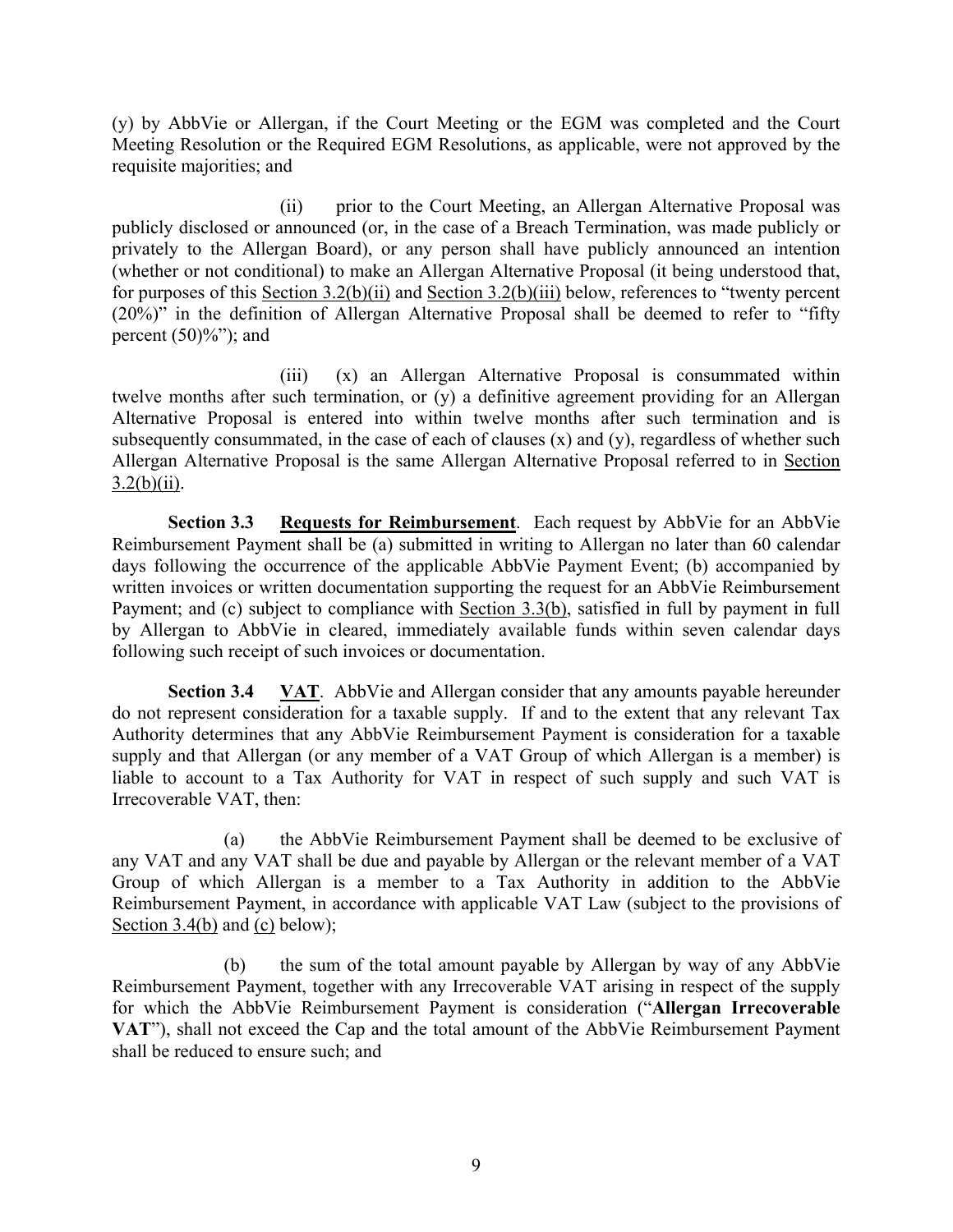(y) by AbbVie or Allergan, if the Court Meeting or the EGM was completed and the Court Meeting Resolution or the Required EGM Resolutions, as applicable, were not approved by the requisite majorities; and

(ii) prior to the Court Meeting, an Allergan Alternative Proposal was publicly disclosed or announced (or, in the case of a Breach Termination, was made publicly or privately to the Allergan Board), or any person shall have publicly announced an intention (whether or not conditional) to make an Allergan Alternative Proposal (it being understood that, for purposes of this Section 3.2(b)(ii) and Section 3.2(b)(iii) below, references to "twenty percent (20%)" in the definition of Allergan Alternative Proposal shall be deemed to refer to "fifty percent  $(50)$ %"); and

(iii) (x) an Allergan Alternative Proposal is consummated within twelve months after such termination, or (y) a definitive agreement providing for an Allergan Alternative Proposal is entered into within twelve months after such termination and is subsequently consummated, in the case of each of clauses (x) and (y), regardless of whether such Allergan Alternative Proposal is the same Allergan Alternative Proposal referred to in Section  $3.2(b)(ii)$ .

<span id="page-10-0"></span>**Section 3.3 Requests for Reimbursement**. Each request by AbbVie for an AbbVie Reimbursement Payment shall be (a) submitted in writing to Allergan no later than 60 calendar days following the occurrence of the applicable AbbVie Payment Event; (b) accompanied by written invoices or written documentation supporting the request for an AbbVie Reimbursement Payment; and (c) subject to compliance with Section 3.3(b), satisfied in full by payment in full by Allergan to AbbVie in cleared, immediately available funds within seven calendar days following such receipt of such invoices or documentation.

<span id="page-10-1"></span>**Section 3.4 VAT**. AbbVie and Allergan consider that any amounts payable hereunder do not represent consideration for a taxable supply. If and to the extent that any relevant Tax Authority determines that any AbbVie Reimbursement Payment is consideration for a taxable supply and that Allergan (or any member of a VAT Group of which Allergan is a member) is liable to account to a Tax Authority for VAT in respect of such supply and such VAT is Irrecoverable VAT, then:

(a) the AbbVie Reimbursement Payment shall be deemed to be exclusive of any VAT and any VAT shall be due and payable by Allergan or the relevant member of a VAT Group of which Allergan is a member to a Tax Authority in addition to the AbbVie Reimbursement Payment, in accordance with applicable VAT Law (subject to the provisions of Section 3.4(b) and (c) below);

(b) the sum of the total amount payable by Allergan by way of any AbbVie Reimbursement Payment, together with any Irrecoverable VAT arising in respect of the supply for which the AbbVie Reimbursement Payment is consideration ("**Allergan Irrecoverable VAT**"), shall not exceed the Cap and the total amount of the AbbVie Reimbursement Payment shall be reduced to ensure such; and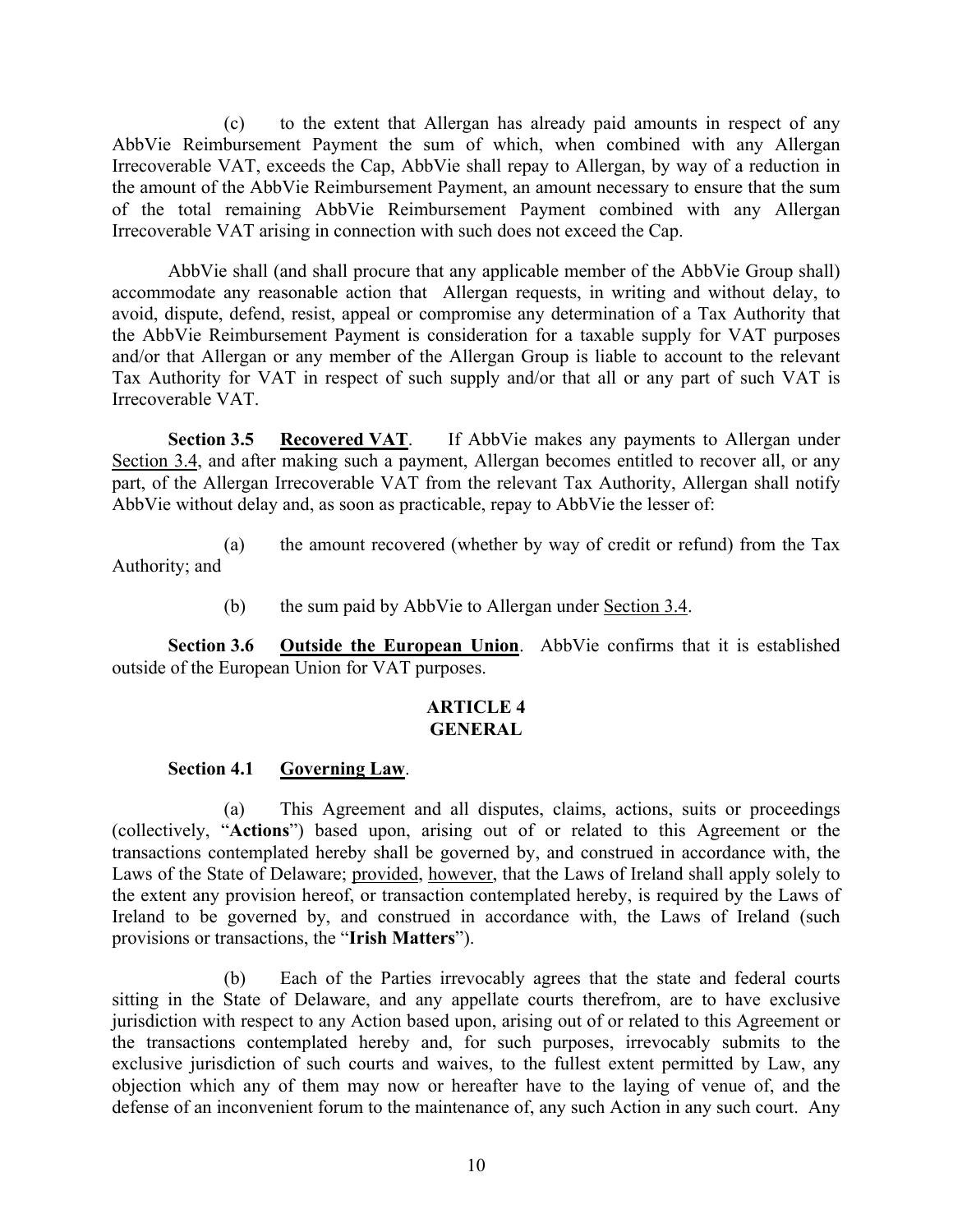(c) to the extent that Allergan has already paid amounts in respect of any AbbVie Reimbursement Payment the sum of which, when combined with any Allergan Irrecoverable VAT, exceeds the Cap, AbbVie shall repay to Allergan, by way of a reduction in the amount of the AbbVie Reimbursement Payment, an amount necessary to ensure that the sum of the total remaining AbbVie Reimbursement Payment combined with any Allergan Irrecoverable VAT arising in connection with such does not exceed the Cap.

AbbVie shall (and shall procure that any applicable member of the AbbVie Group shall) accommodate any reasonable action that Allergan requests, in writing and without delay, to avoid, dispute, defend, resist, appeal or compromise any determination of a Tax Authority that the AbbVie Reimbursement Payment is consideration for a taxable supply for VAT purposes and/or that Allergan or any member of the Allergan Group is liable to account to the relevant Tax Authority for VAT in respect of such supply and/or that all or any part of such VAT is Irrecoverable VAT.

<span id="page-11-0"></span>**Section 3.5 Recovered VAT**. If AbbVie makes any payments to Allergan under Section 3.4, and after making such a payment, Allergan becomes entitled to recover all, or any part, of the Allergan Irrecoverable VAT from the relevant Tax Authority, Allergan shall notify AbbVie without delay and, as soon as practicable, repay to AbbVie the lesser of:

(a) the amount recovered (whether by way of credit or refund) from the Tax Authority; and

(b) the sum paid by AbbVie to Allergan under Section 3.4.

<span id="page-11-1"></span>**Section 3.6 Outside the European Union**. AbbVie confirms that it is established outside of the European Union for VAT purposes.

## <span id="page-11-2"></span>**ARTICLE 4 GENERAL**

### <span id="page-11-3"></span>**Section 4.1 Governing Law**.

(a) This Agreement and all disputes, claims, actions, suits or proceedings (collectively, "**Actions**") based upon, arising out of or related to this Agreement or the transactions contemplated hereby shall be governed by, and construed in accordance with, the Laws of the State of Delaware; provided, however, that the Laws of Ireland shall apply solely to the extent any provision hereof, or transaction contemplated hereby, is required by the Laws of Ireland to be governed by, and construed in accordance with, the Laws of Ireland (such provisions or transactions, the "**Irish Matters**").

(b) Each of the Parties irrevocably agrees that the state and federal courts sitting in the State of Delaware, and any appellate courts therefrom, are to have exclusive jurisdiction with respect to any Action based upon, arising out of or related to this Agreement or the transactions contemplated hereby and, for such purposes, irrevocably submits to the exclusive jurisdiction of such courts and waives, to the fullest extent permitted by Law, any objection which any of them may now or hereafter have to the laying of venue of, and the defense of an inconvenient forum to the maintenance of, any such Action in any such court. Any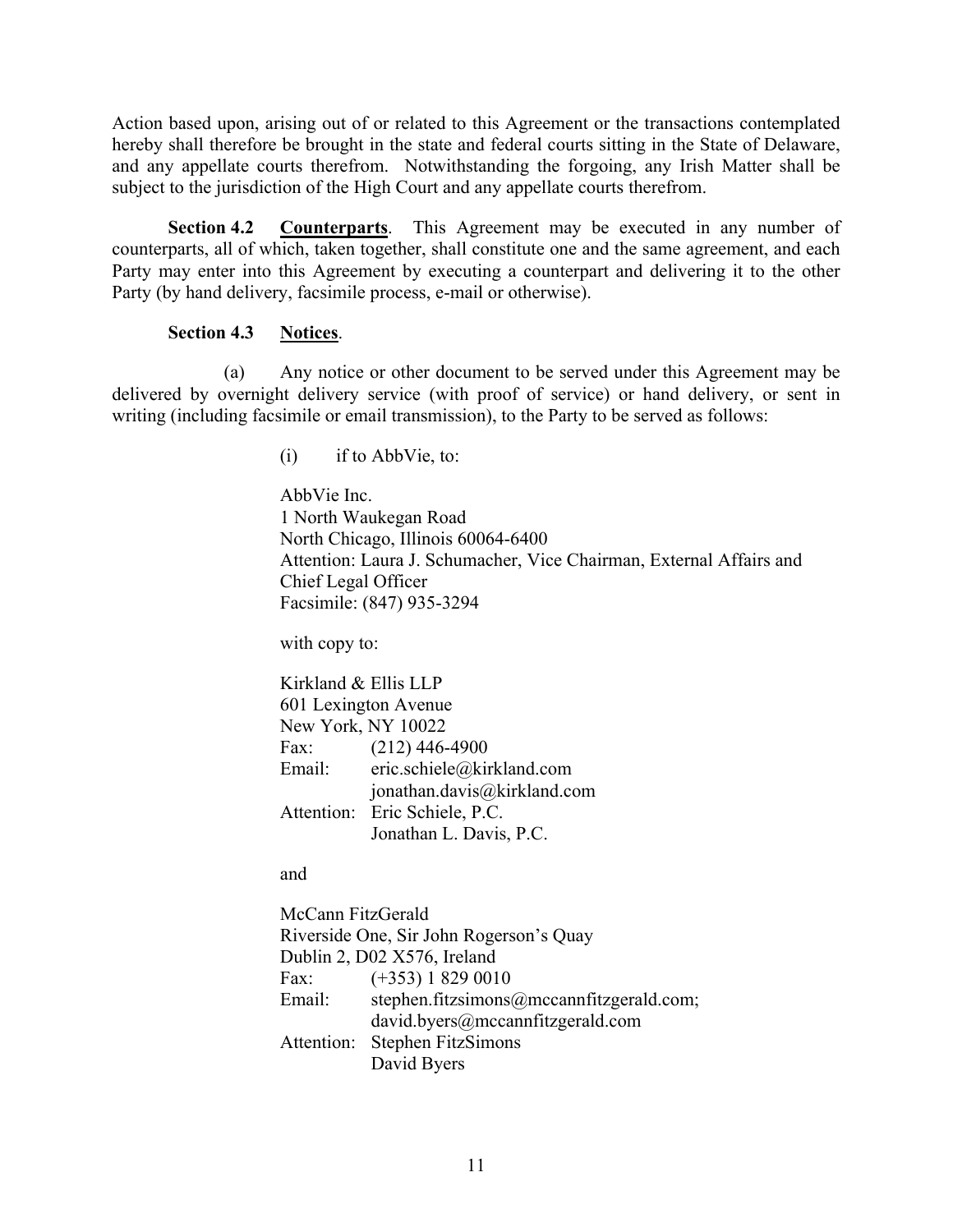Action based upon, arising out of or related to this Agreement or the transactions contemplated hereby shall therefore be brought in the state and federal courts sitting in the State of Delaware, and any appellate courts therefrom. Notwithstanding the forgoing, any Irish Matter shall be subject to the jurisdiction of the High Court and any appellate courts therefrom.

<span id="page-12-0"></span>**Section 4.2 Counterparts**. This Agreement may be executed in any number of counterparts, all of which, taken together, shall constitute one and the same agreement, and each Party may enter into this Agreement by executing a counterpart and delivering it to the other Party (by hand delivery, facsimile process, e-mail or otherwise).

## <span id="page-12-1"></span>**Section 4.3 Notices**.

(a) Any notice or other document to be served under this Agreement may be delivered by overnight delivery service (with proof of service) or hand delivery, or sent in writing (including facsimile or email transmission), to the Party to be served as follows:

 $(i)$  if to AbbVie, to:

AbbVie Inc. 1 North Waukegan Road North Chicago, Illinois 60064-6400 Attention: Laura J. Schumacher, Vice Chairman, External Affairs and Chief Legal Officer Facsimile: (847) 935-3294

with copy to:

Kirkland & Ellis LLP 601 Lexington Avenue New York, NY 10022 Fax: (212) 446-4900 Email: eric.schiele@kirkland.com jonathan.davis@kirkland.com Attention: Eric Schiele, P.C. Jonathan L. Davis, P.C.

and

McCann FitzGerald Riverside One, Sir John Rogerson's Quay Dublin 2, D02 X576, Ireland Fax: (+353) 1 829 0010 Email: stephen.fitzsimons@mccannfitzgerald.com; david.byers@mccannfitzgerald.com Attention: Stephen FitzSimons David Byers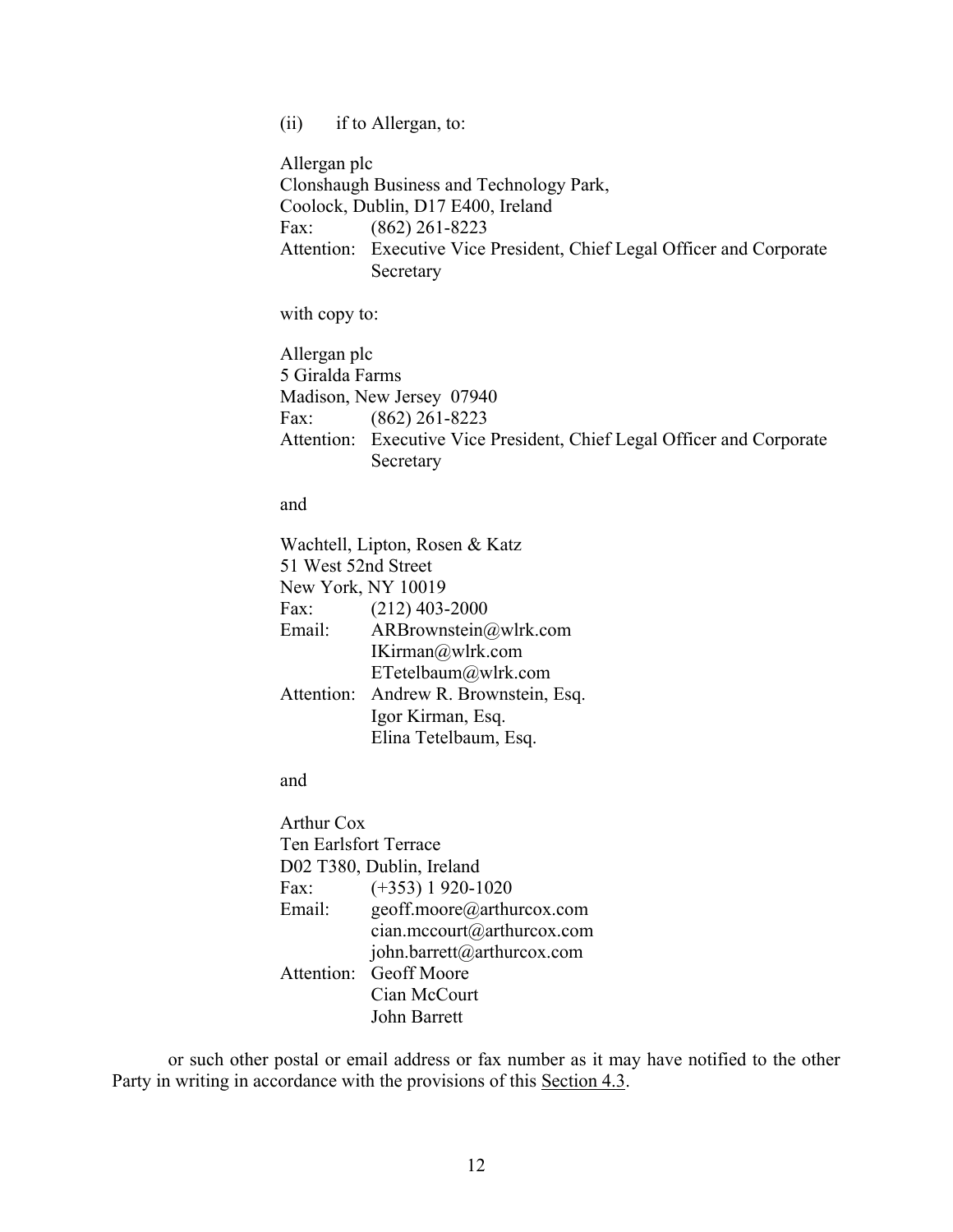(ii) if to Allergan, to:

Allergan plc Clonshaugh Business and Technology Park, Coolock, Dublin, D17 E400, Ireland Fax: (862) 261-8223 Attention: Executive Vice President, Chief Legal Officer and Corporate Secretary

with copy to:

Allergan plc 5 Giralda Farms Madison, New Jersey 07940 Fax: (862) 261-8223 Attention: Executive Vice President, Chief Legal Officer and Corporate Secretary

and

Wachtell, Lipton, Rosen & Katz 51 West 52nd Street New York, NY 10019 Fax: (212) 403-2000 Email: ARBrownstein@wlrk.com IKirman@wlrk.com ETetelbaum@wlrk.com Attention: Andrew R. Brownstein, Esq. Igor Kirman, Esq. Elina Tetelbaum, Esq.

and

Arthur Cox Ten Earlsfort Terrace D02 T380, Dublin, Ireland Fax: (+353) 1 920-1020 Email: geoff.moore@arthurcox.com cian.mccourt@arthurcox.com john.barrett@arthurcox.com Attention: Geoff Moore Cian McCourt John Barrett

or such other postal or email address or fax number as it may have notified to the other Party in writing in accordance with the provisions of this Section 4.3.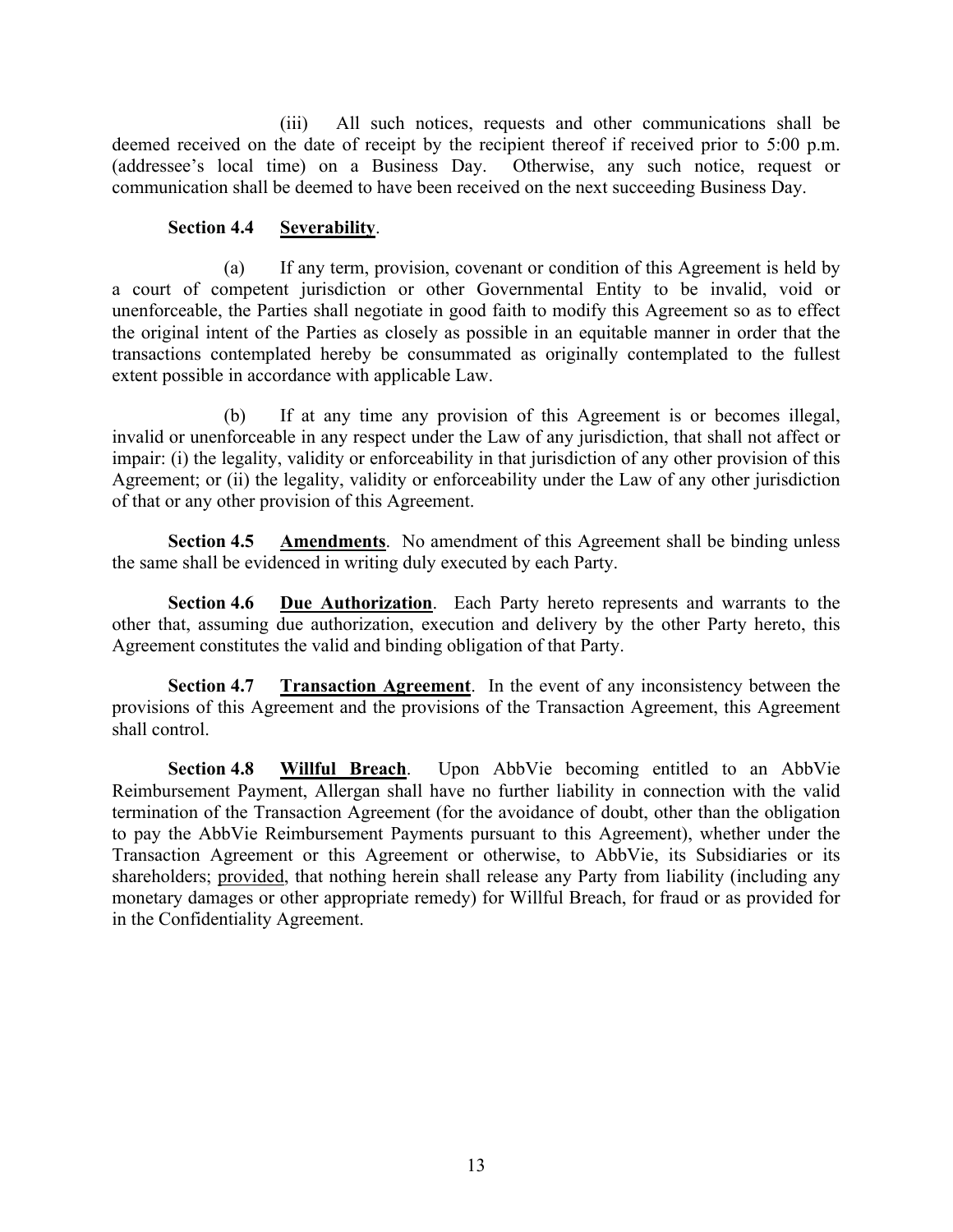(iii) All such notices, requests and other communications shall be deemed received on the date of receipt by the recipient thereof if received prior to 5:00 p.m. (addressee's local time) on a Business Day. Otherwise, any such notice, request or communication shall be deemed to have been received on the next succeeding Business Day.

## <span id="page-14-0"></span>**Section 4.4 Severability**.

(a) If any term, provision, covenant or condition of this Agreement is held by a court of competent jurisdiction or other Governmental Entity to be invalid, void or unenforceable, the Parties shall negotiate in good faith to modify this Agreement so as to effect the original intent of the Parties as closely as possible in an equitable manner in order that the transactions contemplated hereby be consummated as originally contemplated to the fullest extent possible in accordance with applicable Law.

(b) If at any time any provision of this Agreement is or becomes illegal, invalid or unenforceable in any respect under the Law of any jurisdiction, that shall not affect or impair: (i) the legality, validity or enforceability in that jurisdiction of any other provision of this Agreement; or (ii) the legality, validity or enforceability under the Law of any other jurisdiction of that or any other provision of this Agreement.

<span id="page-14-1"></span>**Section 4.5 Amendments**. No amendment of this Agreement shall be binding unless the same shall be evidenced in writing duly executed by each Party.

<span id="page-14-2"></span>**Section 4.6 Due Authorization**. Each Party hereto represents and warrants to the other that, assuming due authorization, execution and delivery by the other Party hereto, this Agreement constitutes the valid and binding obligation of that Party.

<span id="page-14-3"></span>**Section 4.7 Transaction Agreement**. In the event of any inconsistency between the provisions of this Agreement and the provisions of the Transaction Agreement, this Agreement shall control.

<span id="page-14-4"></span>**Section 4.8 Willful Breach**. Upon AbbVie becoming entitled to an AbbVie Reimbursement Payment, Allergan shall have no further liability in connection with the valid termination of the Transaction Agreement (for the avoidance of doubt, other than the obligation to pay the AbbVie Reimbursement Payments pursuant to this Agreement), whether under the Transaction Agreement or this Agreement or otherwise, to AbbVie, its Subsidiaries or its shareholders; provided, that nothing herein shall release any Party from liability (including any monetary damages or other appropriate remedy) for Willful Breach, for fraud or as provided for in the Confidentiality Agreement.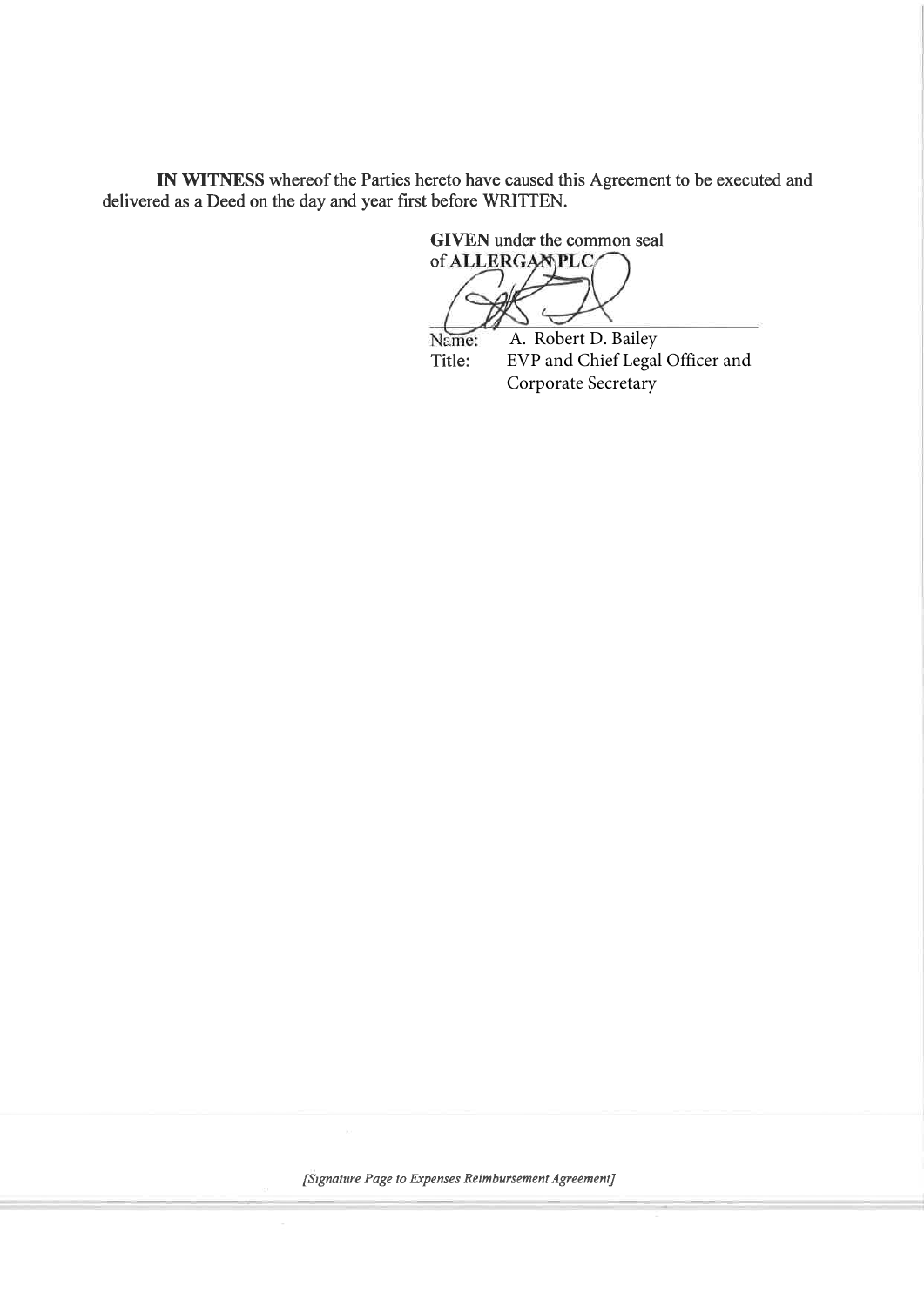IN WITNESS whereof the Parties hereto have caused this Agreement to be executed anddelivered as a Deed on the day and year first before WRITTEN.

> GIVEN under the common sealof ALLERGAMPLC J

Name: A. Robert D. Bailey EVP and Chief Legal Officer and Title:Corporate Secretary

[Signature Page to Expenses Reimbursement Agreement]